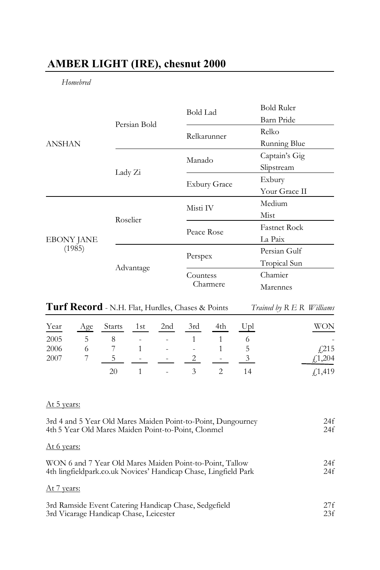# **AMBER LIGHT (IRE), chesnut 2000**

*Homebred*

| <b>ANSHAN</b>               |              | <b>Bold Lad</b>     | <b>Bold Ruler</b>   |
|-----------------------------|--------------|---------------------|---------------------|
|                             | Persian Bold |                     | Barn Pride          |
|                             |              | Relkarunner         | Relko               |
|                             |              |                     | Running Blue        |
|                             | Lady Zi      | Manado              | Captain's Gig       |
|                             |              |                     | Slipstream          |
|                             |              | <b>Exbury Grace</b> | Exbury              |
|                             |              |                     | Your Grace II       |
| <b>EBONY JANE</b><br>(1985) | Roselier     | Misti IV            | Medium              |
|                             |              |                     | Mist                |
|                             |              | Peace Rose          | <b>Fastnet Rock</b> |
|                             |              |                     | La Paix             |
|                             |              | Perspex             | Persian Gulf        |
|                             | Advantage    |                     | Tropical Sun        |
|                             |              | Countess            | Chamier             |
|                             |              | Charmere            | Marennes            |

| Turf Record - N.H. Flat, Hurdles, Chases & Points | Trained by R E R Williams |  |
|---------------------------------------------------|---------------------------|--|
|---------------------------------------------------|---------------------------|--|

| Year | Age           | Starts | 1st                      | 2nd                      | 3rd                      | 4th    | Upl | WON      |
|------|---------------|--------|--------------------------|--------------------------|--------------------------|--------|-----|----------|
| 2005 | $\mathcal{D}$ | 8      | $\sim$                   | $\sim$                   |                          |        |     | ٠        |
| 2006 | O             |        |                          | $\sim$                   | $\overline{\phantom{a}}$ |        | C.  | f(215)   |
| 2007 |               |        | $\overline{\phantom{a}}$ | $\sim$                   |                          | $\sim$ |     | f(1,204) |
|      |               | 20     |                          | $\overline{\phantom{a}}$ |                          |        |     | £1,419   |

## At 5 years:

| 3rd 4 and 5 Year Old Mares Maiden Point-to-Point, Dungourney    | 24f |
|-----------------------------------------------------------------|-----|
| 4th 5 Year Old Mares Maiden Point-to-Point, Clonmel             | 24f |
| At 6 years:                                                     |     |
| WON 6 and 7 Year Old Mares Maiden Point-to-Point, Tallow        | 24f |
| 4th lingfieldpark.co.uk Novices' Handicap Chase, Lingfield Park | 24f |
| At 7 years:                                                     |     |
| 3rd Ramside Event Catering Handicap Chase, Sedgefield           | 27f |
| 3rd Vicarage Handicap Chase, Leicester                          | 23f |